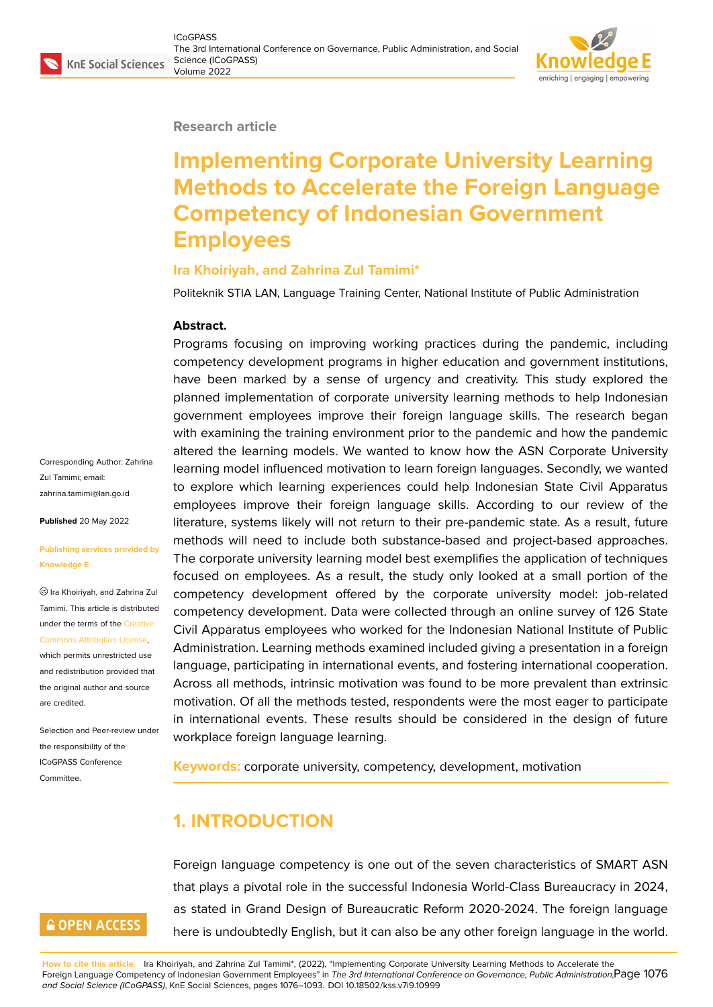#### **Research article**

# **Implementing Corporate University Learning Methods to Accelerate the Foreign Language Competency of Indonesian Government Employees**

#### **Ira Khoiriyah, and Zahrina Zul Tamimi\***

Politeknik STIA LAN, Language Training Center, National Institute of Public Administration

#### **Abstract.**

Programs focusing on improving working practices during the pandemic, including competency development programs in higher education and government institutions, have been marked by a sense of urgency and creativity. This study explored the planned implementation of corporate university learning methods to help Indonesian government employees improve their foreign language skills. The research began with examining the training environment prior to the pandemic and how the pandemic altered the learning models. We wanted to know how the ASN Corporate University learning model influenced motivation to learn foreign languages. Secondly, we wanted to explore which learning experiences could help Indonesian State Civil Apparatus employees improve their foreign language skills. According to our review of the literature, systems likely will not return to their pre-pandemic state. As a result, future methods will need to include both substance-based and project-based approaches. The corporate university learning model best exemplifies the application of techniques focused on employees. As a result, the study only looked at a small portion of the competency development offered by the corporate university model: job-related competency development. Data were collected through an online survey of 126 State Civil Apparatus employees who worked for the Indonesian National Institute of Public Administration. Learning methods examined included giving a presentation in a foreign language, participating in international events, and fostering international cooperation. Across all methods, intrinsic motivation was found to be more prevalent than extrinsic motivation. Of all the methods tested, respondents were the most eager to participate in international events. These results should be considered in the design of future workplace foreign language learning.

**Keywords:** corporate university, competency, development, motivation

## **1. INTRODUCTION**

Foreign language competency is one out of the seven characteristics of SMART ASN that plays a pivotal role in the successful Indonesia World-Class Bureaucracy in 2024, as stated in Grand Design of Bureaucratic Reform 2020-2024. The foreign language here is undoubtedly English, but it can also be any other foreign language in the world.

Corresponding Author: Zahrina Zul Tamimi; email: zahrina.tamimi@lan.go.id

**Published** 20 May 2022

#### **[Publishing services prov](mailto:zahrina.tamimi@lan.go.id)ided by Knowledge E**

Ira Khoiriyah, and Zahrina Zul Tamimi. This article is distributed under the terms of the Creative Commons Attribution License,

which permits unrestricted use and redistribution provided that the original author and [source](https://creativecommons.org/licenses/by/4.0/) [are credited.](https://creativecommons.org/licenses/by/4.0/)

Selection and Peer-review under the responsibility of the ICoGPASS Conference **Committee** 

## **GOPEN ACCESS**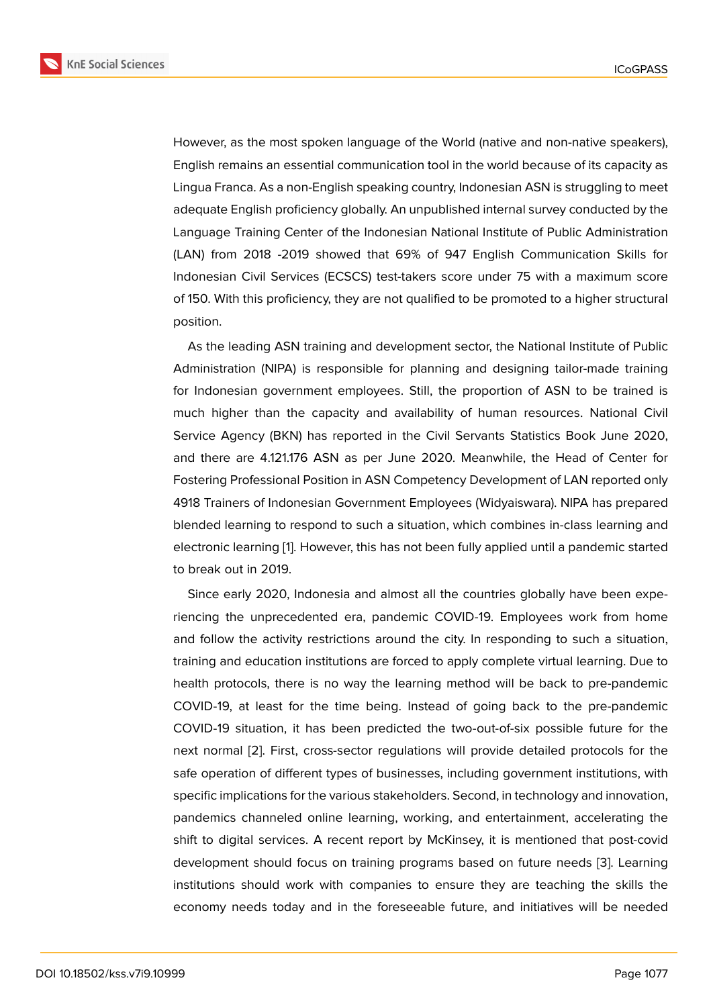However, as the most spoken language of the World (native and non-native speakers), English remains an essential communication tool in the world because of its capacity as Lingua Franca. As a non-English speaking country, Indonesian ASN is struggling to meet adequate English proficiency globally. An unpublished internal survey conducted by the Language Training Center of the Indonesian National Institute of Public Administration (LAN) from 2018 -2019 showed that 69% of 947 English Communication Skills for Indonesian Civil Services (ECSCS) test-takers score under 75 with a maximum score of 150. With this proficiency, they are not qualified to be promoted to a higher structural position.

As the leading ASN training and development sector, the National Institute of Public Administration (NIPA) is responsible for planning and designing tailor-made training for Indonesian government employees. Still, the proportion of ASN to be trained is much higher than the capacity and availability of human resources. National Civil Service Agency (BKN) has reported in the Civil Servants Statistics Book June 2020, and there are 4.121.176 ASN as per June 2020. Meanwhile, the Head of Center for Fostering Professional Position in ASN Competency Development of LAN reported only 4918 Trainers of Indonesian Government Employees (Widyaiswara). NIPA has prepared blended learning to respond to such a situation, which combines in-class learning and electronic learning [1]. However, this has not been fully applied until a pandemic started to break out in 2019.

Since early 2020, Indonesia and almost all the countries globally have been experiencing the unpre[ce](#page-16-0)dented era, pandemic COVID-19. Employees work from home and follow the activity restrictions around the city. In responding to such a situation, training and education institutions are forced to apply complete virtual learning. Due to health protocols, there is no way the learning method will be back to pre-pandemic COVID-19, at least for the time being. Instead of going back to the pre-pandemic COVID-19 situation, it has been predicted the two-out-of-six possible future for the next normal [2]. First, cross-sector regulations will provide detailed protocols for the safe operation of different types of businesses, including government institutions, with specific implications for the various stakeholders. Second, in technology and innovation, pandemics c[ha](#page-16-1)nneled online learning, working, and entertainment, accelerating the shift to digital services. A recent report by McKinsey, it is mentioned that post-covid development should focus on training programs based on future needs [3]. Learning institutions should work with companies to ensure they are teaching the skills the economy needs today and in the foreseeable future, and initiatives will be needed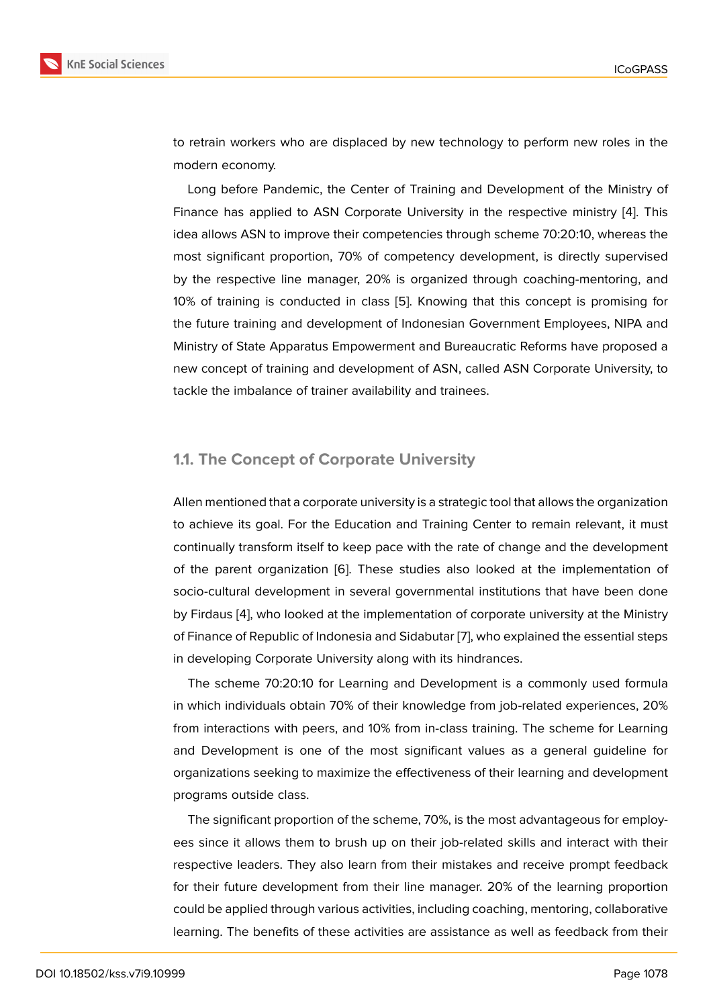to retrain workers who are displaced by new technology to perform new roles in the modern economy.

Long before Pandemic, the Center of Training and Development of the Ministry of Finance has applied to ASN Corporate University in the respective ministry [4]. This idea allows ASN to improve their competencies through scheme 70:20:10, whereas the most significant proportion, 70% of competency development, is directly supervised by the respective line manager, 20% is organized through coaching-mentori[ng](#page-16-2), and 10% of training is conducted in class [5]. Knowing that this concept is promising for the future training and development of Indonesian Government Employees, NIPA and Ministry of State Apparatus Empowerment and Bureaucratic Reforms have proposed a new concept of training and developm[en](#page-16-3)t of ASN, called ASN Corporate University, to tackle the imbalance of trainer availability and trainees.

#### **1.1. The Concept of Corporate University**

Allen mentioned that a corporate university is a strategic tool that allows the organization to achieve its goal. For the Education and Training Center to remain relevant, it must continually transform itself to keep pace with the rate of change and the development of the parent organization [6]. These studies also looked at the implementation of socio-cultural development in several governmental institutions that have been done by Firdaus [4], who looked at the implementation of corporate university at the Ministry of Finance of Republic of Ind[on](#page-16-4)esia and Sidabutar [7], who explained the essential steps in developing Corporate University along with its hindrances.

The sch[em](#page-16-2)e 70:20:10 for Learning and Development is a commonly used formula in which individuals obtain 70% of their knowledg[e](#page-16-5) from job-related experiences, 20% from interactions with peers, and 10% from in-class training. The scheme for Learning and Development is one of the most significant values as a general guideline for organizations seeking to maximize the effectiveness of their learning and development programs outside class.

The significant proportion of the scheme, 70%, is the most advantageous for employees since it allows them to brush up on their job-related skills and interact with their respective leaders. They also learn from their mistakes and receive prompt feedback for their future development from their line manager. 20% of the learning proportion could be applied through various activities, including coaching, mentoring, collaborative learning. The benefits of these activities are assistance as well as feedback from their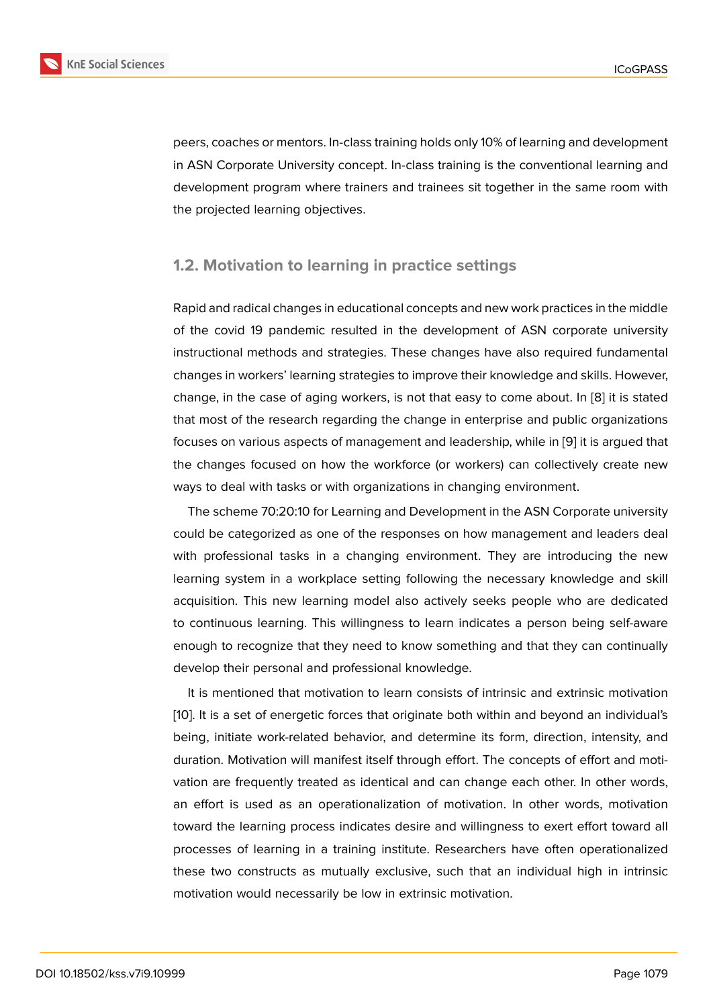peers, coaches or mentors. In-class training holds only 10% of learning and development in ASN Corporate University concept. In-class training is the conventional learning and development program where trainers and trainees sit together in the same room with the projected learning objectives.

#### **1.2. Motivation to learning in practice settings**

Rapid and radical changes in educational concepts and new work practices in the middle of the covid 19 pandemic resulted in the development of ASN corporate university instructional methods and strategies. These changes have also required fundamental changes in workers' learning strategies to improve their knowledge and skills. However, change, in the case of aging workers, is not that easy to come about. In [8] it is stated that most of the research regarding the change in enterprise and public organizations focuses on various aspects of management and leadership, while in [9] it is argued that the changes focused on how the workforce (or workers) can collectivel[y](#page-16-6) create new ways to deal with tasks or with organizations in changing environment.

The scheme 70:20:10 for Learning and Development in the ASN C[or](#page-16-7)porate university could be categorized as one of the responses on how management and leaders deal with professional tasks in a changing environment. They are introducing the new learning system in a workplace setting following the necessary knowledge and skill acquisition. This new learning model also actively seeks people who are dedicated to continuous learning. This willingness to learn indicates a person being self-aware enough to recognize that they need to know something and that they can continually develop their personal and professional knowledge.

It is mentioned that motivation to learn consists of intrinsic and extrinsic motivation [10]. It is a set of energetic forces that originate both within and beyond an individual's being, initiate work-related behavior, and determine its form, direction, intensity, and duration. Motivation will manifest itself through effort. The concepts of effort and moti[vat](#page-16-8)ion are frequently treated as identical and can change each other. In other words, an effort is used as an operationalization of motivation. In other words, motivation toward the learning process indicates desire and willingness to exert effort toward all processes of learning in a training institute. Researchers have often operationalized these two constructs as mutually exclusive, such that an individual high in intrinsic motivation would necessarily be low in extrinsic motivation.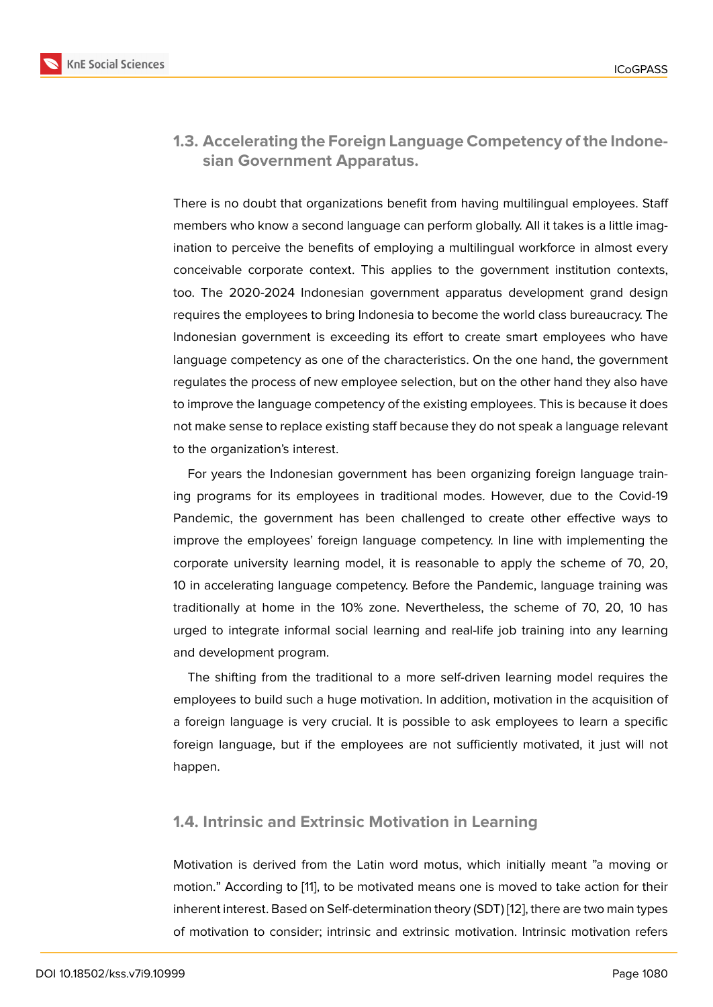**1.3. Accelerating the Foreign Language Competency of the Indonesian Government Apparatus.**

There is no doubt that organizations benefit from having multilingual employees. Staff members who know a second language can perform globally. All it takes is a little imagination to perceive the benefits of employing a multilingual workforce in almost every conceivable corporate context. This applies to the government institution contexts, too. The 2020-2024 Indonesian government apparatus development grand design requires the employees to bring Indonesia to become the world class bureaucracy. The Indonesian government is exceeding its effort to create smart employees who have language competency as one of the characteristics. On the one hand, the government regulates the process of new employee selection, but on the other hand they also have to improve the language competency of the existing employees. This is because it does not make sense to replace existing staff because they do not speak a language relevant to the organization's interest.

For years the Indonesian government has been organizing foreign language training programs for its employees in traditional modes. However, due to the Covid-19 Pandemic, the government has been challenged to create other effective ways to improve the employees' foreign language competency. In line with implementing the corporate university learning model, it is reasonable to apply the scheme of 70, 20, 10 in accelerating language competency. Before the Pandemic, language training was traditionally at home in the 10% zone. Nevertheless, the scheme of 70, 20, 10 has urged to integrate informal social learning and real-life job training into any learning and development program.

The shifting from the traditional to a more self-driven learning model requires the employees to build such a huge motivation. In addition, motivation in the acquisition of a foreign language is very crucial. It is possible to ask employees to learn a specific foreign language, but if the employees are not sufficiently motivated, it just will not happen.

#### **1.4. Intrinsic and Extrinsic Motivation in Learning**

Motivation is derived from the Latin word motus, which initially meant "a moving or motion." According to [11], to be motivated means one is moved to take action for their inherent interest. Based on Self-determination theory (SDT) [12], there are two main types of motivation to consider; intrinsic and extrinsic motivation. Intrinsic motivation refers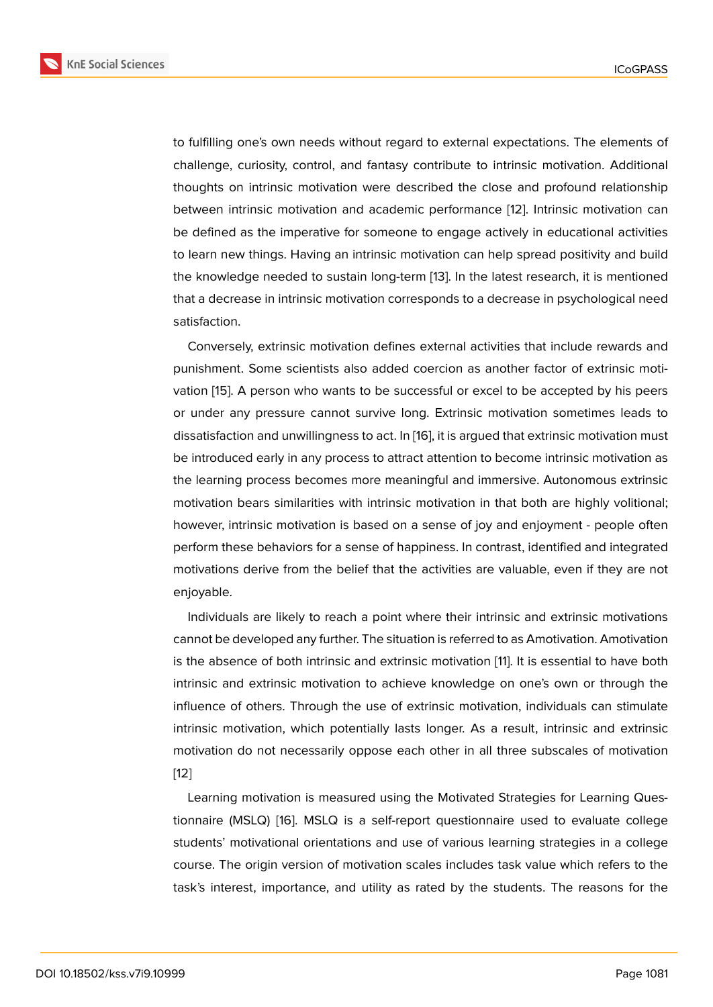to fulfilling one's own needs without regard to external expectations. The elements of challenge, curiosity, control, and fantasy contribute to intrinsic motivation. Additional thoughts on intrinsic motivation were described the close and profound relationship between intrinsic motivation and academic performance [12]. Intrinsic motivation can be defined as the imperative for someone to engage actively in educational activities to learn new things. Having an intrinsic motivation can help spread positivity and build the knowledge needed to sustain long-term [13]. In the lat[est](#page-17-0) research, it is mentioned that a decrease in intrinsic motivation corresponds to a decrease in psychological need satisfaction.

Conversely, extrinsic motivation defines e[xter](#page-17-1)nal activities that include rewards and punishment. Some scientists also added coercion as another factor of extrinsic motivation [15]. A person who wants to be successful or excel to be accepted by his peers or under any pressure cannot survive long. Extrinsic motivation sometimes leads to dissatisfaction and unwillingness to act. In [16], it is argued that extrinsic motivation must be intr[odu](#page-17-2)ced early in any process to attract attention to become intrinsic motivation as the learning process becomes more meaningful and immersive. Autonomous extrinsic motivation bears similarities with intrinsic [mo](#page-17-3)tivation in that both are highly volitional; however, intrinsic motivation is based on a sense of joy and enjoyment - people often perform these behaviors for a sense of happiness. In contrast, identified and integrated motivations derive from the belief that the activities are valuable, even if they are not enjoyable.

Individuals are likely to reach a point where their intrinsic and extrinsic motivations cannot be developed any further. The situation is referred to as Amotivation. Amotivation is the absence of both intrinsic and extrinsic motivation [11]. It is essential to have both intrinsic and extrinsic motivation to achieve knowledge on one's own or through the influence of others. Through the use of extrinsic motivation, individuals can stimulate intrinsic motivation, which potentially lasts longer. As [a r](#page-16-9)esult, intrinsic and extrinsic motivation do not necessarily oppose each other in all three subscales of motivation [12]

Learning motivation is measured using the Motivated Strategies for Learning Questionnaire (MSLQ) [16]. MSLQ is a self-report questionnaire used to evaluate college [stu](#page-17-0)dents' motivational orientations and use of various learning strategies in a college course. The origin version of motivation scales includes task value which refers to the task's interest, im[por](#page-17-3)tance, and utility as rated by the students. The reasons for the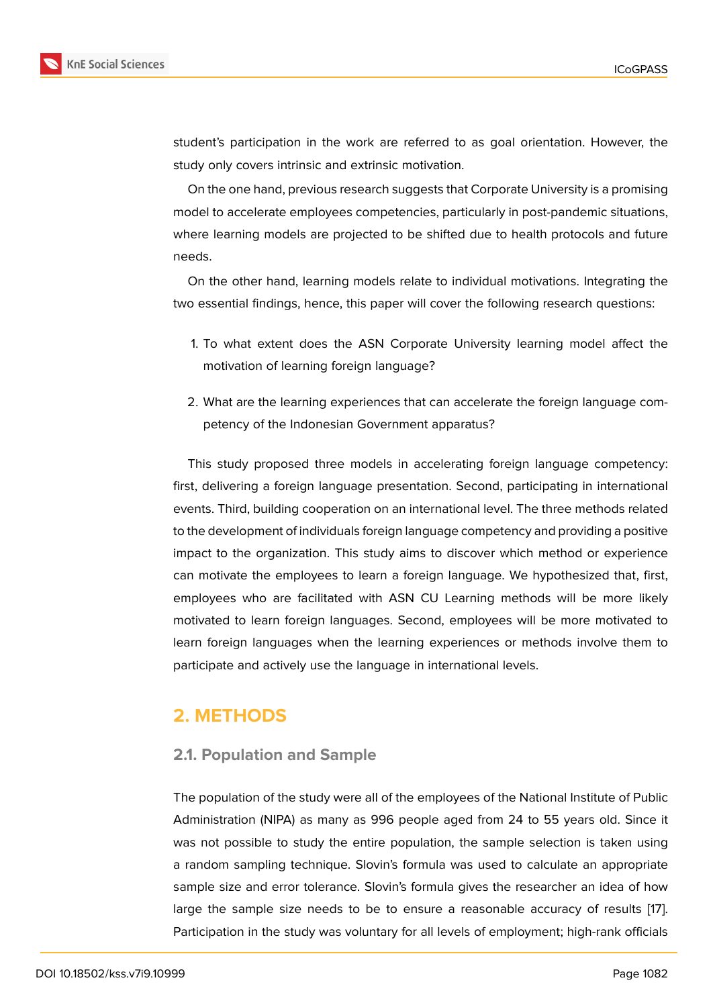student's participation in the work are referred to as goal orientation. However, the study only covers intrinsic and extrinsic motivation.

On the one hand, previous research suggests that Corporate University is a promising model to accelerate employees competencies, particularly in post-pandemic situations, where learning models are projected to be shifted due to health protocols and future needs.

On the other hand, learning models relate to individual motivations. Integrating the two essential findings, hence, this paper will cover the following research questions:

- 1. To what extent does the ASN Corporate University learning model affect the motivation of learning foreign language?
- 2. What are the learning experiences that can accelerate the foreign language competency of the Indonesian Government apparatus?

This study proposed three models in accelerating foreign language competency: first, delivering a foreign language presentation. Second, participating in international events. Third, building cooperation on an international level. The three methods related to the development of individuals foreign language competency and providing a positive impact to the organization. This study aims to discover which method or experience can motivate the employees to learn a foreign language. We hypothesized that, first, employees who are facilitated with ASN CU Learning methods will be more likely motivated to learn foreign languages. Second, employees will be more motivated to learn foreign languages when the learning experiences or methods involve them to participate and actively use the language in international levels.

## **2. METHODS**

#### **2.1. Population and Sample**

The population of the study were all of the employees of the National Institute of Public Administration (NIPA) as many as 996 people aged from 24 to 55 years old. Since it was not possible to study the entire population, the sample selection is taken using a random sampling technique. Slovin's formula was used to calculate an appropriate sample size and error tolerance. Slovin's formula gives the researcher an idea of how large the sample size needs to be to ensure a reasonable accuracy of results [17]. Participation in the study was voluntary for all levels of employment; high-rank officials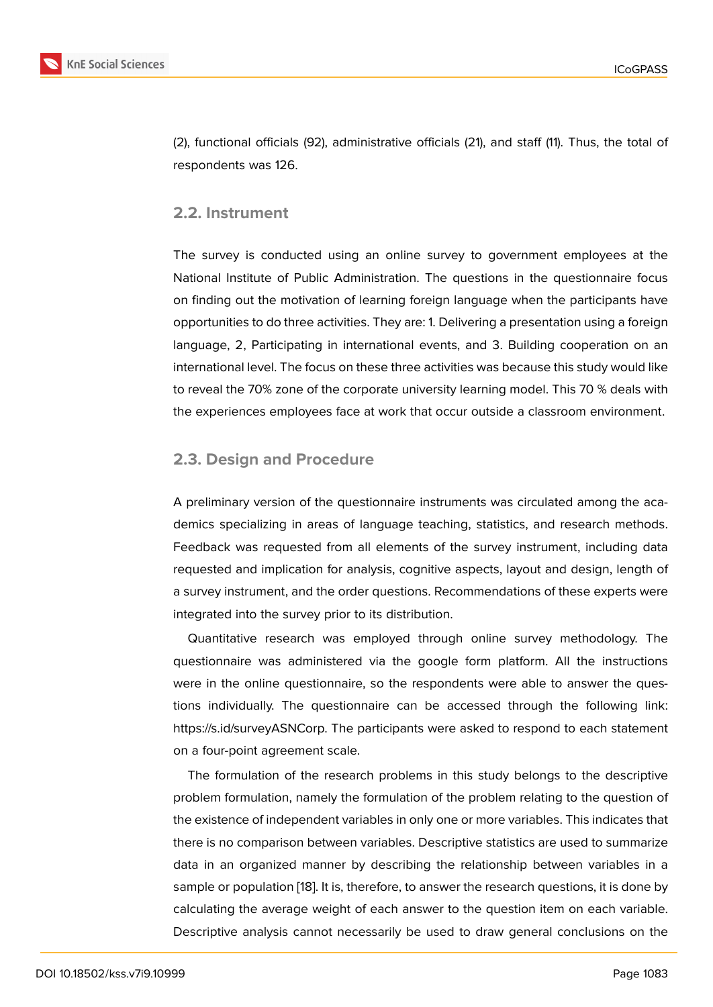(2), functional officials (92), administrative officials (21), and staff (11). Thus, the total of respondents was 126.

#### **2.2. Instrument**

The survey is conducted using an online survey to government employees at the National Institute of Public Administration. The questions in the questionnaire focus on finding out the motivation of learning foreign language when the participants have opportunities to do three activities. They are: 1. Delivering a presentation using a foreign language, 2, Participating in international events, and 3. Building cooperation on an international level. The focus on these three activities was because this study would like to reveal the 70% zone of the corporate university learning model. This 70 % deals with the experiences employees face at work that occur outside a classroom environment.

#### **2.3. Design and Procedure**

A preliminary version of the questionnaire instruments was circulated among the academics specializing in areas of language teaching, statistics, and research methods. Feedback was requested from all elements of the survey instrument, including data requested and implication for analysis, cognitive aspects, layout and design, length of a survey instrument, and the order questions. Recommendations of these experts were integrated into the survey prior to its distribution.

Quantitative research was employed through online survey methodology. The questionnaire was administered via the google form platform. All the instructions were in the online questionnaire, so the respondents were able to answer the questions individually. The questionnaire can be accessed through the following link: https://s.id/surveyASNCorp. The participants were asked to respond to each statement on a four-point agreement scale.

The formulation of the research problems in this study belongs to the descriptive problem formulation, namely the formulation of the problem relating to the question of the existence of independent variables in only one or more variables. This indicates that there is no comparison between variables. Descriptive statistics are used to summarize data in an organized manner by describing the relationship between variables in a sample or population [18]. It is, therefore, to answer the research questions, it is done by calculating the average weight of each answer to the question item on each variable. Descriptive analysis cannot necessarily be used to draw general conclusions on the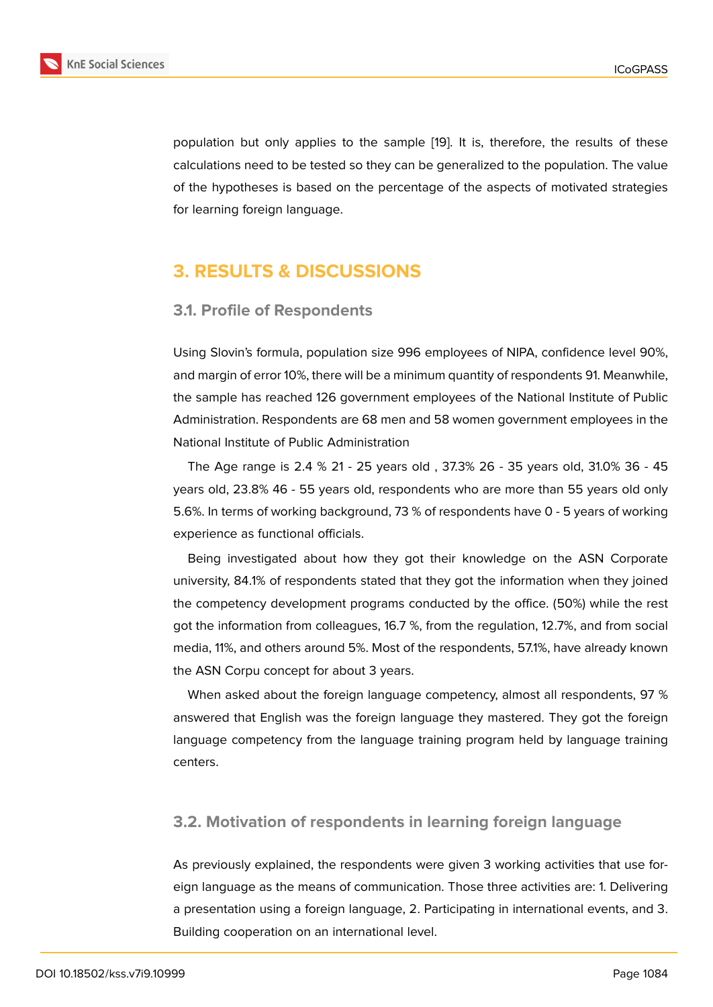population but only applies to the sample [19]. It is, therefore, the results of these calculations need to be tested so they can be generalized to the population. The value of the hypotheses is based on the percentage of the aspects of motivated strategies for learning foreign language.

## **3. RESULTS & DISCUSSIONS**

#### **3.1. Profile of Respondents**

Using Slovin's formula, population size 996 employees of NIPA, confidence level 90%, and margin of error 10%, there will be a minimum quantity of respondents 91. Meanwhile, the sample has reached 126 government employees of the National Institute of Public Administration. Respondents are 68 men and 58 women government employees in the National Institute of Public Administration

The Age range is 2.4 % 21 - 25 years old , 37.3% 26 - 35 years old, 31.0% 36 - 45 years old, 23.8% 46 - 55 years old, respondents who are more than 55 years old only 5.6%. In terms of working background, 73 % of respondents have 0 - 5 years of working experience as functional officials.

Being investigated about how they got their knowledge on the ASN Corporate university, 84.1% of respondents stated that they got the information when they joined the competency development programs conducted by the office. (50%) while the rest got the information from colleagues, 16.7 %, from the regulation, 12.7%, and from social media, 11%, and others around 5%. Most of the respondents, 57.1%, have already known the ASN Corpu concept for about 3 years.

When asked about the foreign language competency, almost all respondents, 97 % answered that English was the foreign language they mastered. They got the foreign language competency from the language training program held by language training centers.

#### **3.2. Motivation of respondents in learning foreign language**

As previously explained, the respondents were given 3 working activities that use foreign language as the means of communication. Those three activities are: 1. Delivering a presentation using a foreign language, 2. Participating in international events, and 3. Building cooperation on an international level.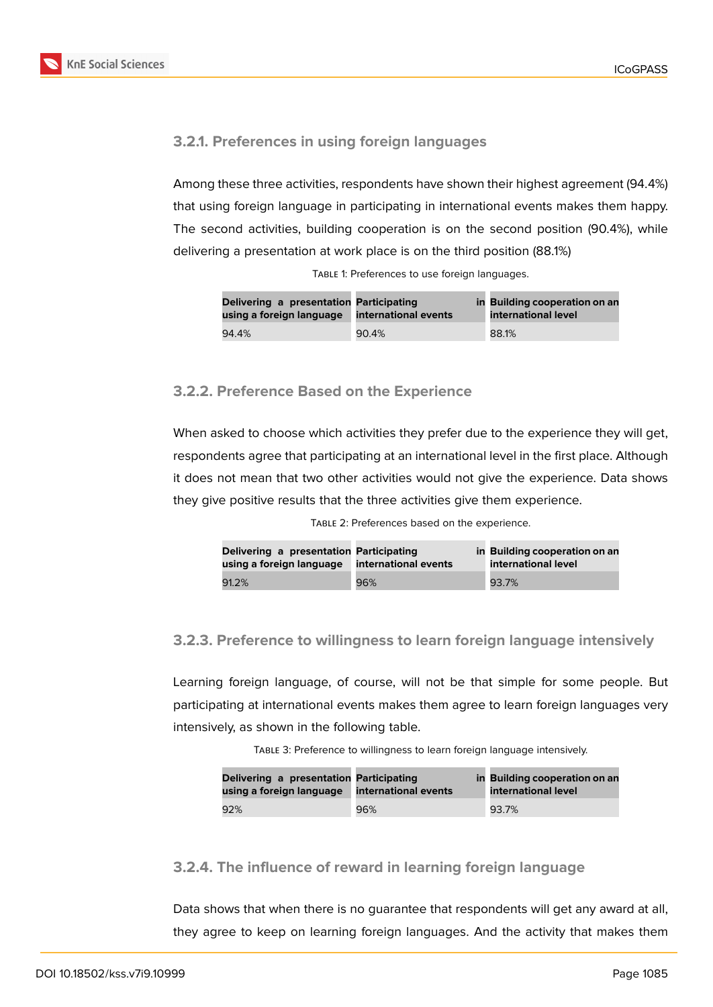

#### **3.2.1. Preferences in using foreign languages**

Among these three activities, respondents have shown their highest agreement (94.4%) that using foreign language in participating in international events makes them happy. The second activities, building cooperation is on the second position (90.4%), while delivering a presentation at work place is on the third position (88.1%)

| Delivering a presentation Participating<br>using a foreign language | international events | in Building cooperation on an<br>international level |  |  |
|---------------------------------------------------------------------|----------------------|------------------------------------------------------|--|--|
| 94.4%                                                               | 90.4%                | 88.1%                                                |  |  |

TABLE 1: Preferences to use foreign languages.

#### **3.2.2. Preference Based on the Experience**

When asked to choose which activities they prefer due to the experience they will get, respondents agree that participating at an international level in the first place. Although it does not mean that two other activities would not give the experience. Data shows they give positive results that the three activities give them experience.

| TABLE 2: Preferences based on the experience. |  |
|-----------------------------------------------|--|
|-----------------------------------------------|--|

| Delivering a presentation Participating<br>using a foreign language | international events | in Building cooperation on an<br>international level |
|---------------------------------------------------------------------|----------------------|------------------------------------------------------|
| 91.2%                                                               | 96%                  | 93.7%                                                |

#### **3.2.3. Preference to willingness to learn foreign language intensively**

Learning foreign language, of course, will not be that simple for some people. But participating at international events makes them agree to learn foreign languages very intensively, as shown in the following table.

Table 3: Preference to willingness to learn foreign language intensively.

| Delivering a presentation Participating<br>using a foreign language | international events | in Building cooperation on an<br>international level |
|---------------------------------------------------------------------|----------------------|------------------------------------------------------|
| 92%                                                                 | 96%                  | 93.7%                                                |

#### **3.2.4. The influence of reward in learning foreign language**

Data shows that when there is no guarantee that respondents will get any award at all, they agree to keep on learning foreign languages. And the activity that makes them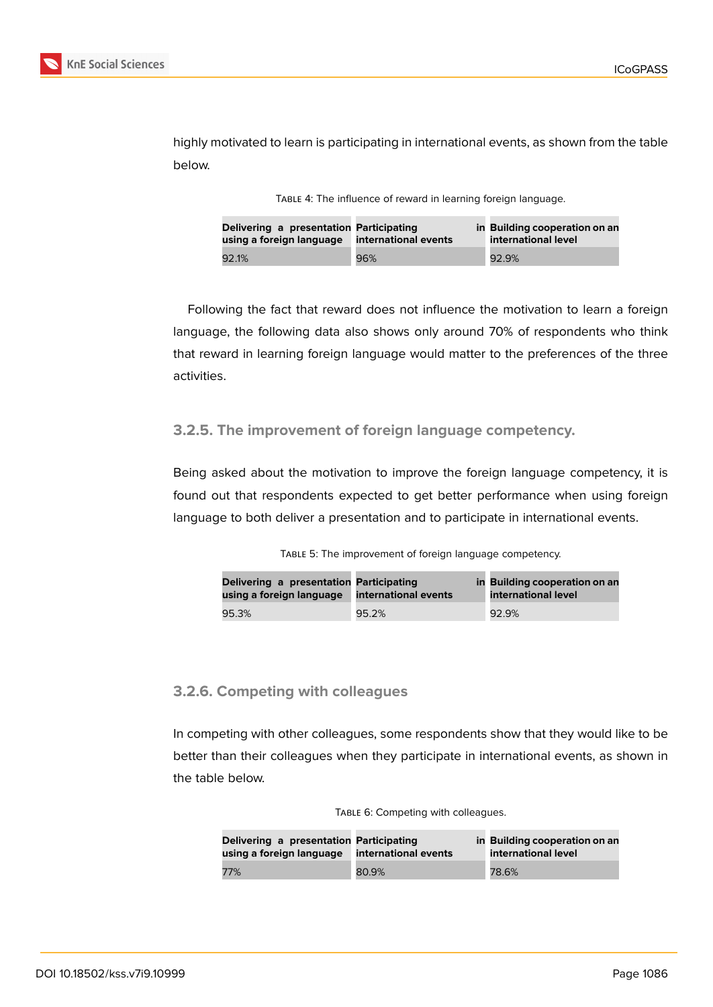

highly motivated to learn is participating in international events, as shown from the table below.

| TABLE 4: The influence of reward in learning foreign language. |  |  |  |  |
|----------------------------------------------------------------|--|--|--|--|
|----------------------------------------------------------------|--|--|--|--|

| Delivering a presentation Participating<br>using a foreign language | international events | in Building cooperation on an<br>international level |
|---------------------------------------------------------------------|----------------------|------------------------------------------------------|
| 92.1%                                                               | 96%                  | 92.9%                                                |

Following the fact that reward does not influence the motivation to learn a foreign language, the following data also shows only around 70% of respondents who think that reward in learning foreign language would matter to the preferences of the three activities.

#### **3.2.5. The improvement of foreign language competency.**

Being asked about the motivation to improve the foreign language competency, it is found out that respondents expected to get better performance when using foreign language to both deliver a presentation and to participate in international events.

| Delivering a presentation Participating<br>using a foreign language | international events | in Building cooperation on an<br>international level |  |  |
|---------------------------------------------------------------------|----------------------|------------------------------------------------------|--|--|
| 95.3%                                                               | 95.2%                | 92.9%                                                |  |  |

#### **3.2.6. Competing with colleagues**

In competing with other colleagues, some respondents show that they would like to be better than their colleagues when they participate in international events, as shown in the table below.

| TABLE 6: Competing with colleagues. |  |
|-------------------------------------|--|
|-------------------------------------|--|

| Delivering a presentation Participating<br>using a foreign language | international events | in Building cooperation on an<br>international level |
|---------------------------------------------------------------------|----------------------|------------------------------------------------------|
| 77%                                                                 | 80.9%                | 78.6%                                                |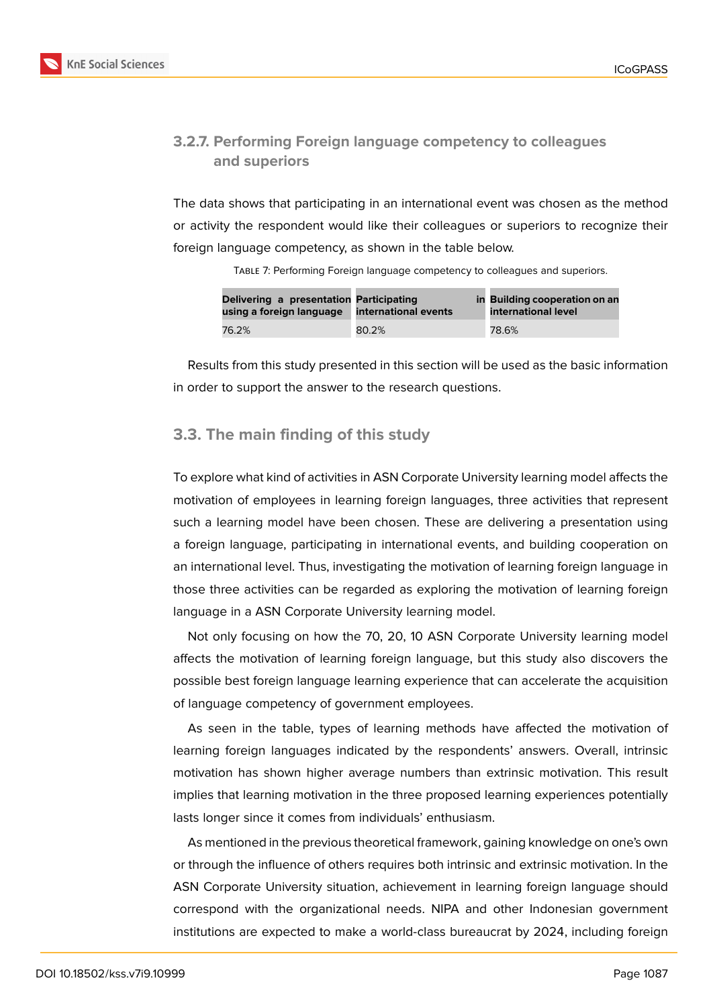#### **3.2.7. Performing Foreign language competency to colleagues and superiors**

The data shows that participating in an international event was chosen as the method or activity the respondent would like their colleagues or superiors to recognize their foreign language competency, as shown in the table below.

Table 7: Performing Foreign language competency to colleagues and superiors.

| Delivering a presentation Participating<br>using a foreign language | international events | in Building cooperation on an<br>international level |  |  |
|---------------------------------------------------------------------|----------------------|------------------------------------------------------|--|--|
| 76.2%                                                               | 80.2%                | 78.6%                                                |  |  |

Results from this study presented in this section will be used as the basic information in order to support the answer to the research questions.

### **3.3. The main finding of this study**

To explore what kind of activities in ASN Corporate University learning model affects the motivation of employees in learning foreign languages, three activities that represent such a learning model have been chosen. These are delivering a presentation using a foreign language, participating in international events, and building cooperation on an international level. Thus, investigating the motivation of learning foreign language in those three activities can be regarded as exploring the motivation of learning foreign language in a ASN Corporate University learning model.

Not only focusing on how the 70, 20, 10 ASN Corporate University learning model affects the motivation of learning foreign language, but this study also discovers the possible best foreign language learning experience that can accelerate the acquisition of language competency of government employees.

As seen in the table, types of learning methods have affected the motivation of learning foreign languages indicated by the respondents' answers. Overall, intrinsic motivation has shown higher average numbers than extrinsic motivation. This result implies that learning motivation in the three proposed learning experiences potentially lasts longer since it comes from individuals' enthusiasm.

As mentioned in the previous theoretical framework, gaining knowledge on one's own or through the influence of others requires both intrinsic and extrinsic motivation. In the ASN Corporate University situation, achievement in learning foreign language should correspond with the organizational needs. NIPA and other Indonesian government institutions are expected to make a world-class bureaucrat by 2024, including foreign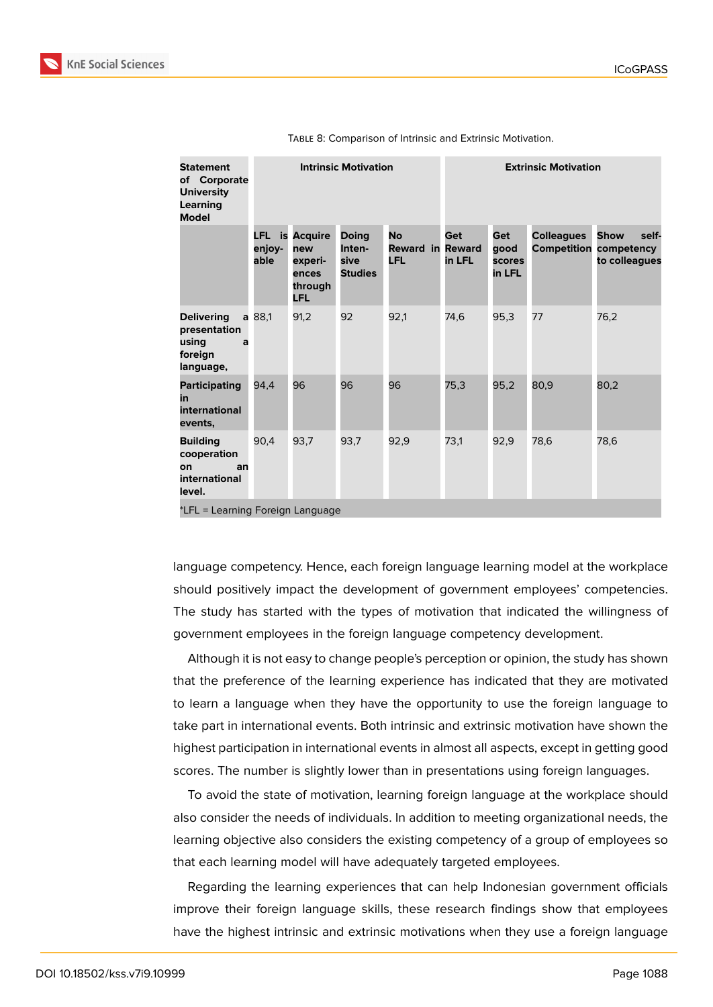| <b>Statement</b><br>of Corporate<br><b>University</b><br>Learning<br><b>Model</b> | <b>Intrinsic Motivation</b>      |                                                                           |                                                  | <b>Extrinsic Motivation</b>                        |               |                                        |                   |                                                                        |
|-----------------------------------------------------------------------------------|----------------------------------|---------------------------------------------------------------------------|--------------------------------------------------|----------------------------------------------------|---------------|----------------------------------------|-------------------|------------------------------------------------------------------------|
|                                                                                   | enjoy-<br>able                   | <b>LFL</b> is Acquire<br>new<br>experi-<br>ences<br>through<br><b>LFL</b> | <b>Doing</b><br>Inten-<br>sive<br><b>Studies</b> | <b>No</b><br><b>Reward in Reward</b><br><b>LFL</b> | Get<br>in LFL | Get<br>qood<br><b>scores</b><br>in LFL | <b>Colleagues</b> | <b>Show</b><br>self-<br><b>Competition competency</b><br>to colleagues |
| <b>Delivering</b><br>presentation<br>using<br>a<br>foreign<br>language,           | a 88,1                           | 91,2                                                                      | 92                                               | 92,1                                               | 74,6          | 95,3                                   | 77                | 76,2                                                                   |
| <b>Participating</b><br>in<br>international<br>events,                            | 94.4                             | 96                                                                        | 96                                               | 96                                                 | 75,3          | 95,2                                   | 80,9              | 80,2                                                                   |
| <b>Building</b><br>cooperation<br>on<br>an<br>international<br>level.             | 90,4                             | 93.7                                                                      | 93,7                                             | 92,9                                               | 73.1          | 92,9                                   | 78,6              | 78,6                                                                   |
|                                                                                   | *LFL = Learning Foreign Language |                                                                           |                                                  |                                                    |               |                                        |                   |                                                                        |

Table 8: Comparison of Intrinsic and Extrinsic Motivation.

language competency. Hence, each foreign language learning model at the workplace should positively impact the development of government employees' competencies. The study has started with the types of motivation that indicated the willingness of government employees in the foreign language competency development.

Although it is not easy to change people's perception or opinion, the study has shown that the preference of the learning experience has indicated that they are motivated to learn a language when they have the opportunity to use the foreign language to take part in international events. Both intrinsic and extrinsic motivation have shown the highest participation in international events in almost all aspects, except in getting good scores. The number is slightly lower than in presentations using foreign languages.

To avoid the state of motivation, learning foreign language at the workplace should also consider the needs of individuals. In addition to meeting organizational needs, the learning objective also considers the existing competency of a group of employees so that each learning model will have adequately targeted employees.

Regarding the learning experiences that can help Indonesian government officials improve their foreign language skills, these research findings show that employees have the highest intrinsic and extrinsic motivations when they use a foreign language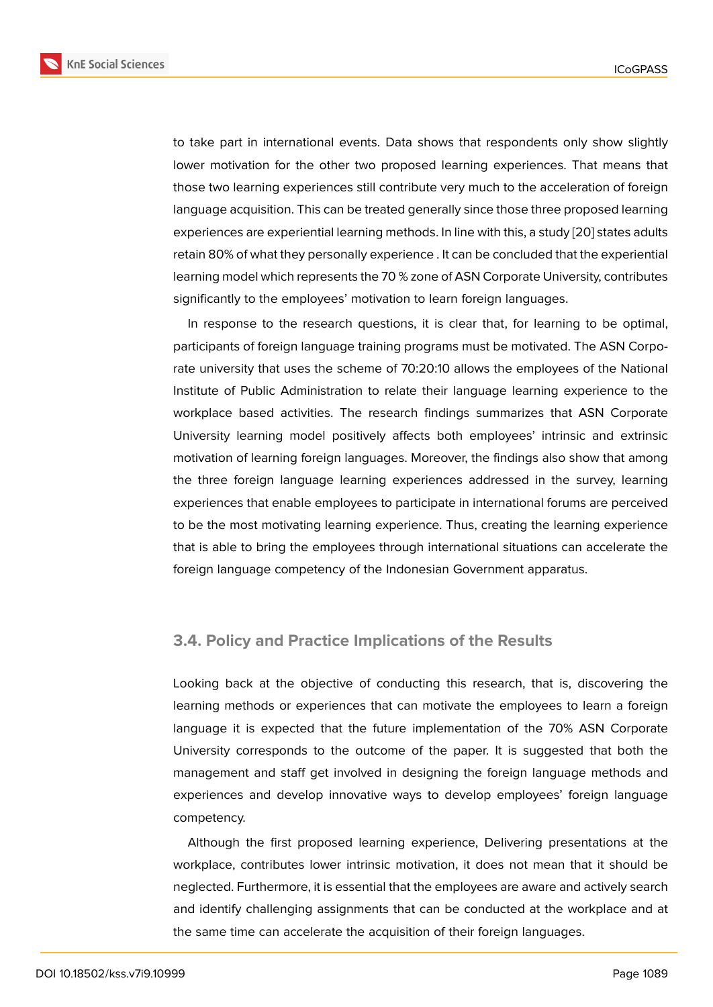to take part in international events. Data shows that respondents only show slightly lower motivation for the other two proposed learning experiences. That means that those two learning experiences still contribute very much to the acceleration of foreign language acquisition. This can be treated generally since those three proposed learning experiences are experiential learning methods. In line with this, a study [20] states adults retain 80% of what they personally experience . It can be concluded that the experiential learning model which represents the 70 % zone of ASN Corporate University, contributes significantly to the employees' motivation to learn foreign languages.

In response to the research questions, it is clear that, for learning to be optimal, participants of foreign language training programs must be motivated. The ASN Corporate university that uses the scheme of 70:20:10 allows the employees of the National Institute of Public Administration to relate their language learning experience to the workplace based activities. The research findings summarizes that ASN Corporate University learning model positively affects both employees' intrinsic and extrinsic motivation of learning foreign languages. Moreover, the findings also show that among the three foreign language learning experiences addressed in the survey, learning experiences that enable employees to participate in international forums are perceived to be the most motivating learning experience. Thus, creating the learning experience that is able to bring the employees through international situations can accelerate the foreign language competency of the Indonesian Government apparatus.

#### **3.4. Policy and Practice Implications of the Results**

Looking back at the objective of conducting this research, that is, discovering the learning methods or experiences that can motivate the employees to learn a foreign language it is expected that the future implementation of the 70% ASN Corporate University corresponds to the outcome of the paper. It is suggested that both the management and staff get involved in designing the foreign language methods and experiences and develop innovative ways to develop employees' foreign language competency.

Although the first proposed learning experience, Delivering presentations at the workplace, contributes lower intrinsic motivation, it does not mean that it should be neglected. Furthermore, it is essential that the employees are aware and actively search and identify challenging assignments that can be conducted at the workplace and at the same time can accelerate the acquisition of their foreign languages.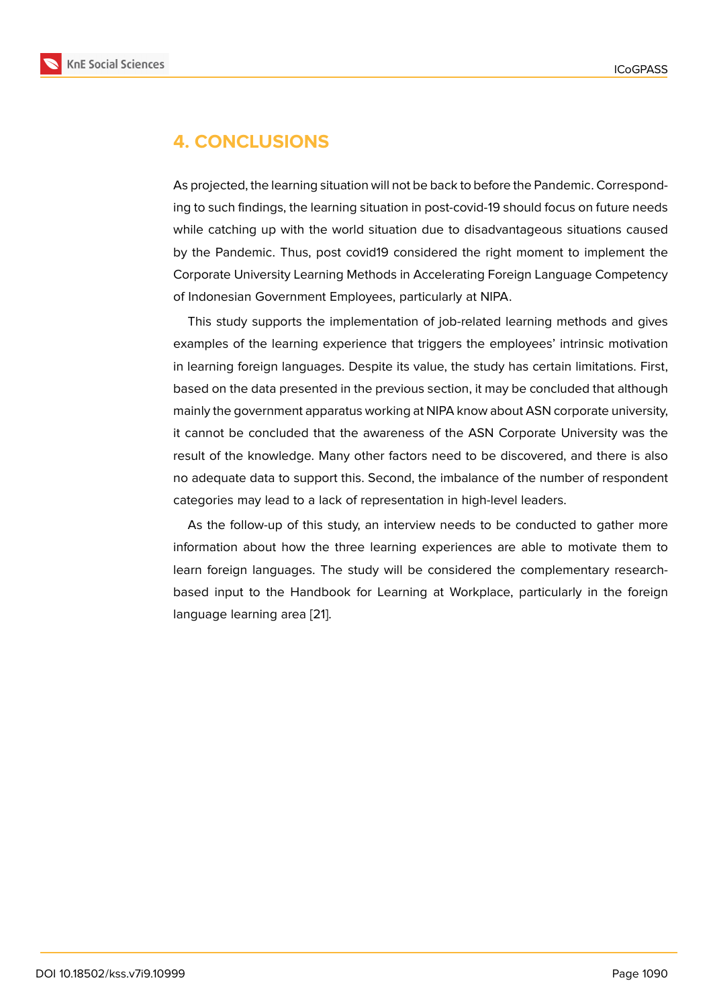## **4. CONCLUSIONS**

As projected, the learning situation will not be back to before the Pandemic. Corresponding to such findings, the learning situation in post-covid-19 should focus on future needs while catching up with the world situation due to disadvantageous situations caused by the Pandemic. Thus, post covid19 considered the right moment to implement the Corporate University Learning Methods in Accelerating Foreign Language Competency of Indonesian Government Employees, particularly at NIPA.

This study supports the implementation of job-related learning methods and gives examples of the learning experience that triggers the employees' intrinsic motivation in learning foreign languages. Despite its value, the study has certain limitations. First, based on the data presented in the previous section, it may be concluded that although mainly the government apparatus working at NIPA know about ASN corporate university, it cannot be concluded that the awareness of the ASN Corporate University was the result of the knowledge. Many other factors need to be discovered, and there is also no adequate data to support this. Second, the imbalance of the number of respondent categories may lead to a lack of representation in high-level leaders.

As the follow-up of this study, an interview needs to be conducted to gather more information about how the three learning experiences are able to motivate them to learn foreign languages. The study will be considered the complementary researchbased input to the Handbook for Learning at Workplace, particularly in the foreign language learning area [21].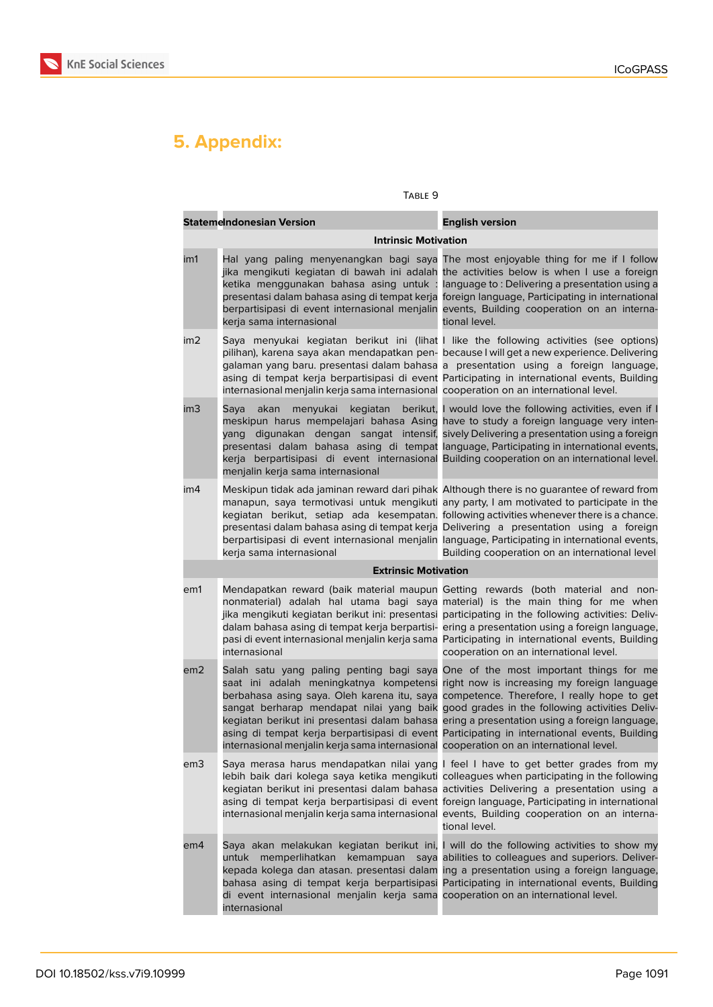

# **5. Appendix:**

#### Table 9

| <b>Statemelndonesian Version</b> |                                                                                                    | <b>English version</b>                                                                                                                                                                                                                                                                                                                                                                                                                                                                                                                                        |
|----------------------------------|----------------------------------------------------------------------------------------------------|---------------------------------------------------------------------------------------------------------------------------------------------------------------------------------------------------------------------------------------------------------------------------------------------------------------------------------------------------------------------------------------------------------------------------------------------------------------------------------------------------------------------------------------------------------------|
|                                  | <b>Intrinsic Motivation</b>                                                                        |                                                                                                                                                                                                                                                                                                                                                                                                                                                                                                                                                               |
| im1                              | ketika menggunakan bahasa asing untuk:<br>kerja sama internasional                                 | Hal yang paling menyenangkan bagi saya The most enjoyable thing for me if I follow<br>jika mengikuti kegiatan di bawah ini adalah the activities below is when I use a foreign<br>language to: Delivering a presentation using a<br>presentasi dalam bahasa asing di tempat kerja foreign language, Participating in international<br>berpartisipasi di event internasional menjalin events, Building cooperation on an interna-<br>tional level.                                                                                                             |
| im2                              | internasional menjalin kerja sama internasional cooperation on an international level.             | Saya menyukai kegiatan berikut ini (lihat I like the following activities (see options)<br>pilihan), karena saya akan mendapatkan pen- because I will get a new experience. Delivering<br>galaman yang baru. presentasi dalam bahasa a presentation using a foreign language,<br>asing di tempat kerja berpartisipasi di event Participating in international events, Building                                                                                                                                                                                |
| im3                              | kegiatan<br>akan<br>menyukai<br>Saya<br>yang<br>menjalin kerja sama internasional                  | berikut, I would love the following activities, even if I<br>meskipun harus mempelajari bahasa Asing have to study a foreign language very inten-<br>digunakan dengan sangat intensif, sively Delivering a presentation using a foreign<br>presentasi dalam bahasa asing di tempat language, Participating in international events,<br>kerja berpartisipasi di event internasional Building cooperation on an international level.                                                                                                                            |
| im4                              | kerja sama internasional                                                                           | Meskipun tidak ada jaminan reward dari pihak Although there is no guarantee of reward from<br>manapun, saya termotivasi untuk mengikuti any party, I am motivated to participate in the<br>kegiatan berikut, setiap ada kesempatan. following activities whenever there is a chance.<br>presentasi dalam bahasa asing di tempat kerja Delivering a presentation using a foreign<br>berpartisipasi di event internasional menjalin language, Participating in international events,<br>Building cooperation on an international level                          |
| <b>Extrinsic Motivation</b>      |                                                                                                    |                                                                                                                                                                                                                                                                                                                                                                                                                                                                                                                                                               |
| em1                              | internasional                                                                                      | Mendapatkan reward (baik material maupun Getting rewards (both material and non-<br>nonmaterial) adalah hal utama bagi saya material) is the main thing for me when<br>jika mengikuti kegiatan berikut ini: presentasi participating in the following activities: Deliv-<br>dalam bahasa asing di tempat kerja berpartisi- ering a presentation using a foreign language,<br>pasi di event internasional menjalin kerja sama Participating in international events, Building<br>cooperation on an international level.                                        |
| em2                              | internasional menjalin kerja sama internasional cooperation on an international level.             | Salah satu yang paling penting bagi saya One of the most important things for me<br>saat ini adalah meningkatnya kompetensi right now is increasing my foreign language<br>berbahasa asing saya. Oleh karena itu, saya competence. Therefore, I really hope to get<br>sangat berharap mendapat nilai yang baik good grades in the following activities Deliv-<br>kegiatan berikut ini presentasi dalam bahasa ering a presentation using a foreign language,<br>asing di tempat kerja berpartisipasi di event Participating in international events, Building |
| em3                              |                                                                                                    | Saya merasa harus mendapatkan nilai yang I feel I have to get better grades from my<br>lebih baik dari kolega saya ketika mengikuti colleagues when participating in the following<br>kegiatan berikut ini presentasi dalam bahasa activities Delivering a presentation using a<br>asing di tempat kerja berpartisipasi di event foreign language, Participating in international<br>internasional menjalin kerja sama internasional events, Building cooperation on an interna-<br>tional level.                                                             |
| em4                              | di event internasional menjalin kerja sama cooperation on an international level.<br>internasional | Saya akan melakukan kegiatan berikut ini, I will do the following activities to show my<br>untuk memperlihatkan kemampuan saya abilities to colleagues and superiors. Deliver-<br>kepada kolega dan atasan. presentasi dalam ing a presentation using a foreign language,<br>bahasa asing di tempat kerja berpartisipasi Participating in international events, Building                                                                                                                                                                                      |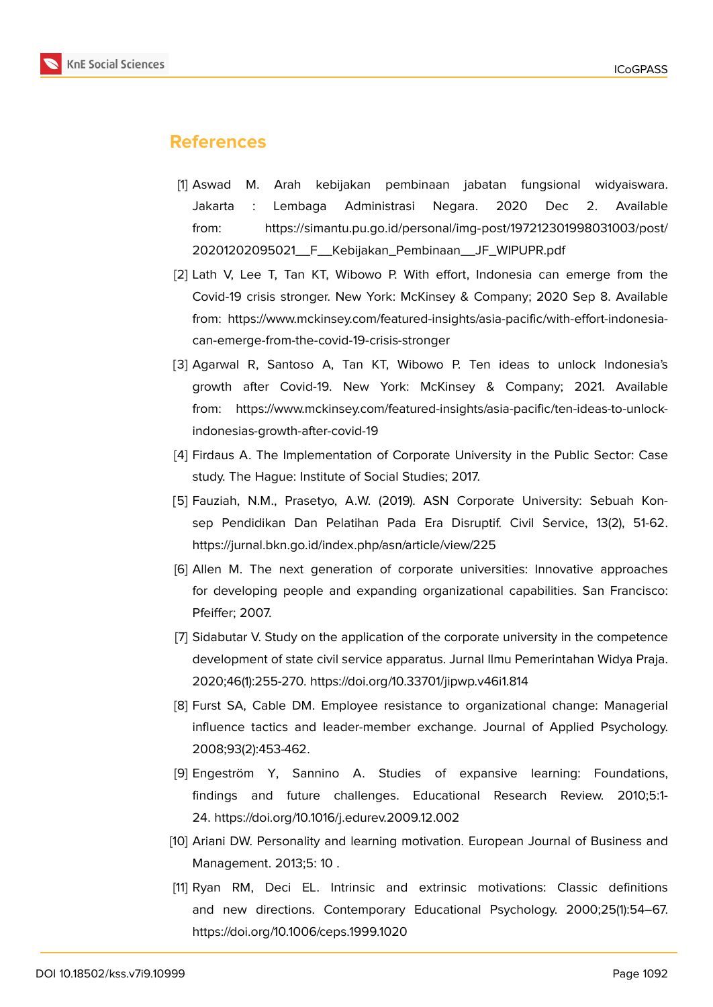#### **References**

- [1] Aswad M. Arah kebijakan pembinaan jabatan fungsional widyaiswara. Jakarta : Lembaga Administrasi Negara. 2020 Dec 2. Available from: https://simantu.pu.go.id/personal/img-post/197212301998031003/post/ 20201202095021\_\_F\_\_Kebijakan\_Pembinaan\_\_JF\_WIPUPR.pdf
- <span id="page-16-0"></span>[2] Lath V, Lee T, Tan KT, Wibowo P. With effort, Indonesia can emerge from the Covid-19 cri[sis stronger. New York: McKinsey & Company; 2020 Sep 8. Available](https://simantu.pu.go.id/personal/img-post/197212301998031003/post/20201202095021__F__Kebijakan_Pembinaan__JF_WIPUPR.pdf) [from: https://www.mckinsey.com/featured-insights/asia-pacific/with](https://simantu.pu.go.id/personal/img-post/197212301998031003/post/20201202095021__F__Kebijakan_Pembinaan__JF_WIPUPR.pdf)-effort-indonesiacan-emerge-from-the-covid-19-crisis-stronger
- <span id="page-16-1"></span>[3] Agarwal R, Santoso A, Tan KT, Wibowo P. Ten ideas to unlock Indonesia's growth after Covid-19. New York: McKinsey & Company; 2021. Available from: https://www.mckinsey.com/featured-insights/asia-pacific/ten-ideas-to-unlockindonesias-growth-after-covid-19
- [4] Firdaus A. The Implementation of Corporate University in the Public Sector: Case study. The Hague: Institute of Social Studies; 2017.
- <span id="page-16-2"></span>[5] Fauziah, N.M., Prasetyo, A.W. (2019). ASN Corporate University: Sebuah Konsep Pendidikan Dan Pelatihan Pada Era Disruptif. Civil Service, 13(2), 51-62. https://jurnal.bkn.go.id/index.php/asn/article/view/225
- <span id="page-16-3"></span>[6] Allen M. The next generation of corporate universities: Innovative approaches for developing people and expanding organizational capabilities. San Francisco: Pfeiffer; 2007.
- <span id="page-16-4"></span>[7] Sidabutar V. Study on the application of the corporate university in the competence development of state civil service apparatus. Jurnal Ilmu Pemerintahan Widya Praja. 2020;46(1):255-270. https://doi.org/10.33701/jipwp.v46i1.814
- <span id="page-16-5"></span>[8] Furst SA, Cable DM. Employee resistance to organizational change: Managerial influence tactics and leader-member exchange. Journal of Applied Psychology. 2008;93(2):453-462.
- <span id="page-16-6"></span>[9] Engeström Y, Sannino A. Studies of expansive learning: Foundations, findings and future challenges. Educational Research Review. 2010;5:1- 24. https://doi.org/10.1016/j.edurev.2009.12.002
- <span id="page-16-7"></span>[10] Ariani DW. Personality and learning motivation. European Journal of Business and Management. 2013;5: 10 .
- <span id="page-16-9"></span><span id="page-16-8"></span>[11] Ryan RM, Deci EL. Intrinsic and extrinsic motivations: Classic definitions and new directions. Contemporary Educational Psychology. 2000;25(1):54–67. https://doi.org/10.1006/ceps.1999.1020